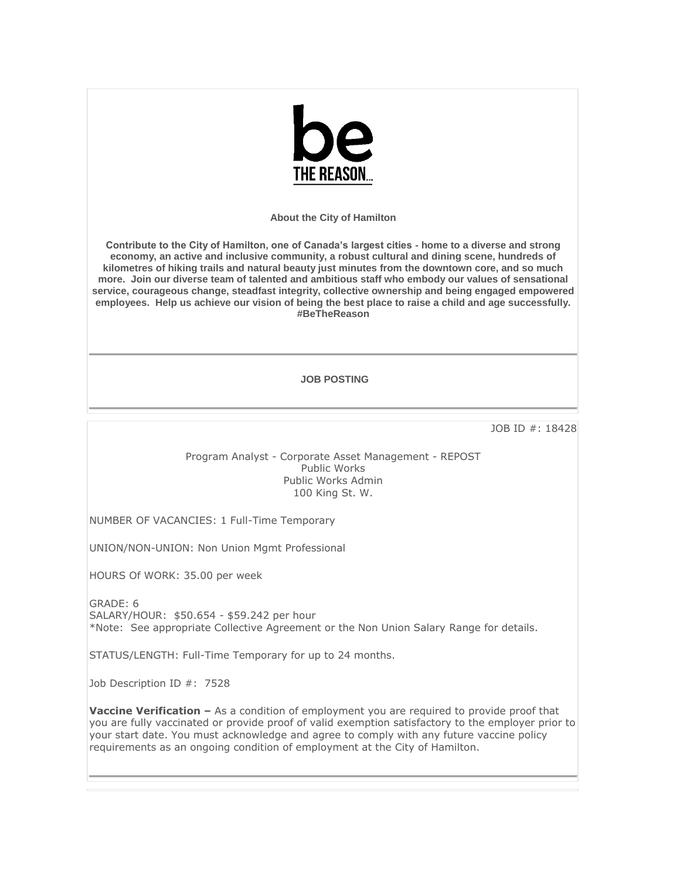

**About the City of Hamilton**

**Contribute to the City of Hamilton, one of Canada's largest cities - home to a diverse and strong economy, an active and inclusive community, a robust cultural and dining scene, hundreds of kilometres of hiking trails and natural beauty just minutes from the downtown core, and so much more. Join our diverse team of talented and ambitious staff who embody our values of sensational service, courageous change, steadfast integrity, collective ownership and being engaged empowered employees. Help us achieve our vision of being the best place to raise a child and age successfully. #BeTheReason** 

## **JOB POSTING**

JOB ID #: 18428

Program Analyst - Corporate Asset Management - REPOST Public Works Public Works Admin 100 King St. W.

NUMBER OF VACANCIES: 1 Full-Time Temporary

UNION/NON-UNION: Non Union Mgmt Professional

HOURS Of WORK: 35.00 per week

GRADE: 6 SALARY/HOUR: \$50.654 - \$59.242 per hour \*Note: See appropriate Collective Agreement or the Non Union Salary Range for details.

STATUS/LENGTH: Full-Time Temporary for up to 24 months.

Job Description ID #: 7528

**Vaccine Verification –** As a condition of employment you are required to provide proof that you are fully vaccinated or provide proof of valid exemption satisfactory to the employer prior to your start date. You must acknowledge and agree to comply with any future vaccine policy requirements as an ongoing condition of employment at the City of Hamilton.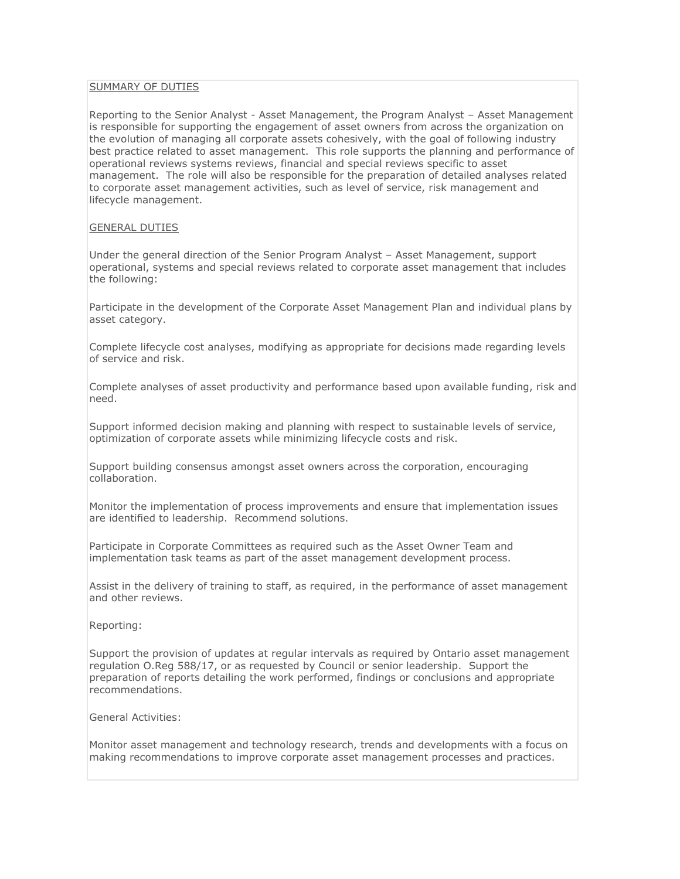## SUMMARY OF DUTIES

Reporting to the Senior Analyst - Asset Management, the Program Analyst – Asset Management is responsible for supporting the engagement of asset owners from across the organization on the evolution of managing all corporate assets cohesively, with the goal of following industry best practice related to asset management. This role supports the planning and performance of operational reviews systems reviews, financial and special reviews specific to asset management. The role will also be responsible for the preparation of detailed analyses related to corporate asset management activities, such as level of service, risk management and lifecycle management.

## GENERAL DUTIES

Under the general direction of the Senior Program Analyst – Asset Management, support operational, systems and special reviews related to corporate asset management that includes the following:

Participate in the development of the Corporate Asset Management Plan and individual plans by asset category.

Complete lifecycle cost analyses, modifying as appropriate for decisions made regarding levels of service and risk.

Complete analyses of asset productivity and performance based upon available funding, risk and need.

Support informed decision making and planning with respect to sustainable levels of service, optimization of corporate assets while minimizing lifecycle costs and risk.

Support building consensus amongst asset owners across the corporation, encouraging collaboration.

Monitor the implementation of process improvements and ensure that implementation issues are identified to leadership. Recommend solutions.

Participate in Corporate Committees as required such as the Asset Owner Team and implementation task teams as part of the asset management development process.

Assist in the delivery of training to staff, as required, in the performance of asset management and other reviews.

Reporting:

Support the provision of updates at regular intervals as required by Ontario asset management regulation O.Reg 588/17, or as requested by Council or senior leadership. Support the preparation of reports detailing the work performed, findings or conclusions and appropriate recommendations.

General Activities:

Monitor asset management and technology research, trends and developments with a focus on making recommendations to improve corporate asset management processes and practices.